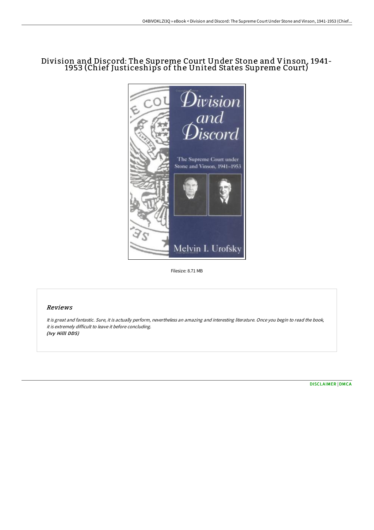## Division and Discord: The Supreme Court Under Stone and Vinson, 1941- 1953 (Chief Justiceships of the United States Supreme Court)



Filesize: 8.71 MB

## Reviews

It is great and fantastic. Sure, it is actually perform, nevertheless an amazing and interesting literature. Once you begin to read the book, it is extremely difficult to leave it before concluding. (Ivy Hilll DDS)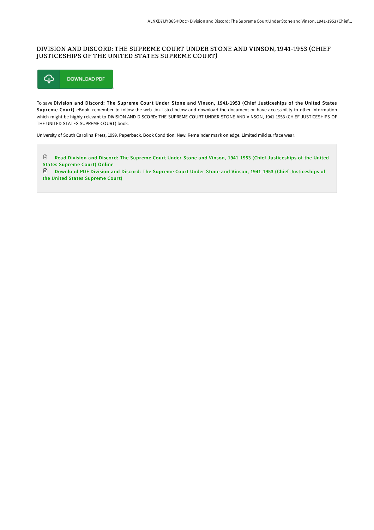## DIVISION AND DISCORD: THE SUPREME COURT UNDER STONE AND VINSON, 1941-1953 (CHIEF JUSTICESHIPS OF THE UNITED STATES SUPREME COURT)



To save Division and Discord: The Supreme Court Under Stone and Vinson, 1941-1953 (Chief Justiceships of the United States Supreme Court) eBook, remember to follow the web link listed below and download the document or have accessibility to other information which might be highly relevant to DIVISION AND DISCORD: THE SUPREME COURT UNDER STONE AND VINSON, 1941-1953 (CHIEF JUSTICESHIPS OF THE UNITED STATES SUPREME COURT) book.

University of South Carolina Press, 1999. Paperback. Book Condition: New. Remainder mark on edge. Limited mild surface wear.